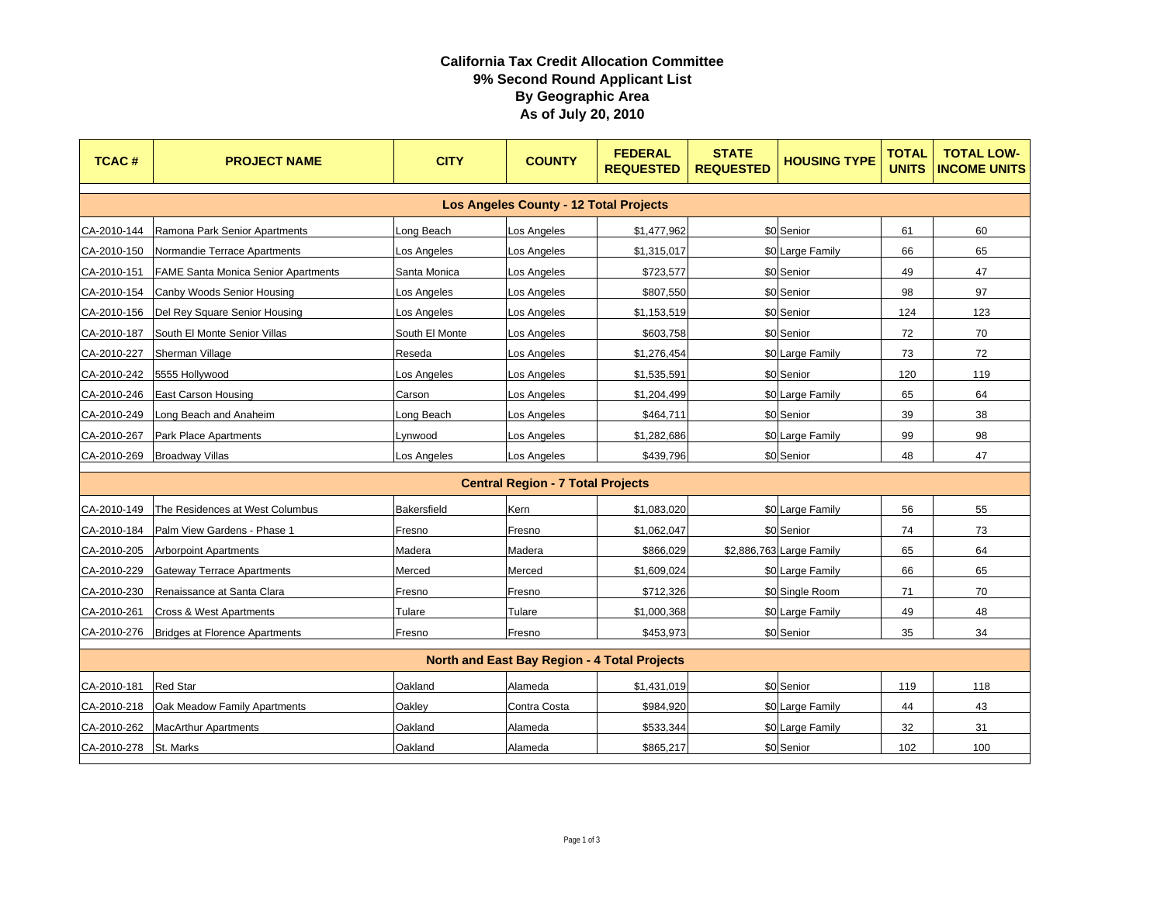## **California Tax Credit Allocation Committee 9% Second Round Applicant List By Geographic Area As of July 20, 2010**

| <b>TCAC#</b>                                        | <b>PROJECT NAME</b>                        | <b>CITY</b>        | <b>COUNTY</b> | <b>FEDERAL</b><br><b>REQUESTED</b> | <b>STATE</b><br><b>REQUESTED</b> | <b>HOUSING TYPE</b>      | <b>TOTAL</b><br><b>UNITS</b> | <b>TOTAL LOW-</b><br><b>INCOME UNITS</b> |  |
|-----------------------------------------------------|--------------------------------------------|--------------------|---------------|------------------------------------|----------------------------------|--------------------------|------------------------------|------------------------------------------|--|
| <b>Los Angeles County - 12 Total Projects</b>       |                                            |                    |               |                                    |                                  |                          |                              |                                          |  |
| CA-2010-144                                         | Ramona Park Senior Apartments              | ong Beach.         | _os Angeles   | \$1,477,962                        |                                  | \$0 Senior               | 61                           | 60                                       |  |
| CA-2010-150                                         | Normandie Terrace Apartments               | Los Angeles        | Los Angeles   | \$1,315,017                        |                                  | \$0 Large Family         | 66                           | 65                                       |  |
| CA-2010-151                                         | <b>FAME Santa Monica Senior Apartments</b> | Santa Monica       | Los Angeles   | \$723,577                          |                                  | \$0 Senior               | 49                           | 47                                       |  |
| CA-2010-154                                         | Canby Woods Senior Housing                 | Los Angeles        | Los Angeles   | \$807,550                          |                                  | \$0 Senior               | 98                           | 97                                       |  |
| CA-2010-156                                         | Del Rey Square Senior Housing              | Los Angeles        | Los Angeles   | \$1,153,519                        |                                  | \$0 Senior               | 124                          | 123                                      |  |
| CA-2010-187                                         | South El Monte Senior Villas               | South El Monte     | Los Angeles   | \$603,758                          |                                  | \$0 Senior               | 72                           | 70                                       |  |
| CA-2010-227                                         | Sherman Village                            | Reseda             | Los Angeles   | \$1,276,454                        |                                  | \$0 Large Family         | 73                           | 72                                       |  |
| CA-2010-242                                         | 5555 Hollywood                             | _os Angeles        | _os Angeles   | \$1,535,591                        |                                  | \$0 Senior               | 120                          | 119                                      |  |
| CA-2010-246                                         | <b>East Carson Housing</b>                 | Carson             | Los Angeles   | \$1,204,499                        |                                  | \$0 Large Family         | 65                           | 64                                       |  |
| CA-2010-249                                         | Long Beach and Anaheim                     | Long Beach         | Los Angeles   | \$464,711                          |                                  | \$0 Senior               | 39                           | 38                                       |  |
| CA-2010-267                                         | <b>Park Place Apartments</b>               | _ynwood            | Los Angeles   | \$1,282,686                        |                                  | \$0 Large Family         | 99                           | 98                                       |  |
| CA-2010-269                                         | <b>Broadway Villas</b>                     | Los Angeles        | Los Angeles   | \$439,796                          |                                  | \$0 Senior               | 48                           | 47                                       |  |
|                                                     |                                            |                    |               |                                    |                                  |                          |                              |                                          |  |
| <b>Central Region - 7 Total Projects</b>            |                                            |                    |               |                                    |                                  |                          |                              |                                          |  |
| CA-2010-149                                         | The Residences at West Columbus            | <b>Bakersfield</b> | Kern          | \$1,083,020                        |                                  | \$0 Large Family         | 56                           | 55                                       |  |
| CA-2010-184                                         | Palm View Gardens - Phase 1                | Fresno             | Fresno        | \$1,062,047                        |                                  | \$0 Senior               | 74                           | 73                                       |  |
| CA-2010-205                                         | <b>Arborpoint Apartments</b>               | Madera             | Madera        | \$866,029                          |                                  | \$2,886,763 Large Family | 65                           | 64                                       |  |
| CA-2010-229                                         | Gateway Terrace Apartments                 | Merced             | Merced        | \$1,609,024                        |                                  | \$0 Large Family         | 66                           | 65                                       |  |
| CA-2010-230                                         | Renaissance at Santa Clara                 | Fresno             | Fresno        | \$712,326                          |                                  | \$0 Single Room          | 71                           | 70                                       |  |
| CA-2010-261                                         | <b>Cross &amp; West Apartments</b>         | Tulare             | Tulare        | \$1,000,368                        |                                  | \$0 Large Family         | 49                           | 48                                       |  |
| CA-2010-276                                         | <b>Bridges at Florence Apartments</b>      | Fresno             | Fresno        | \$453,973                          |                                  | \$0 Senior               | 35                           | 34                                       |  |
| <b>North and East Bay Region - 4 Total Projects</b> |                                            |                    |               |                                    |                                  |                          |                              |                                          |  |
| CA-2010-181                                         | <b>Red Star</b>                            | Oakland            | Alameda       | \$1,431,019                        |                                  | \$0 Senior               | 119                          | 118                                      |  |
| CA-2010-218                                         | Oak Meadow Family Apartments               | Oakley             | Contra Costa  | \$984,920                          |                                  | \$0 Large Family         | 44                           | 43                                       |  |
| CA-2010-262                                         | <b>MacArthur Apartments</b>                | Oakland            | Alameda       | \$533,344                          |                                  | \$0 Large Family         | 32                           | 31                                       |  |
| CA-2010-278 St. Marks                               |                                            | Oakland            | Alameda       | \$865,217                          |                                  | \$0 Senior               | 102                          | 100                                      |  |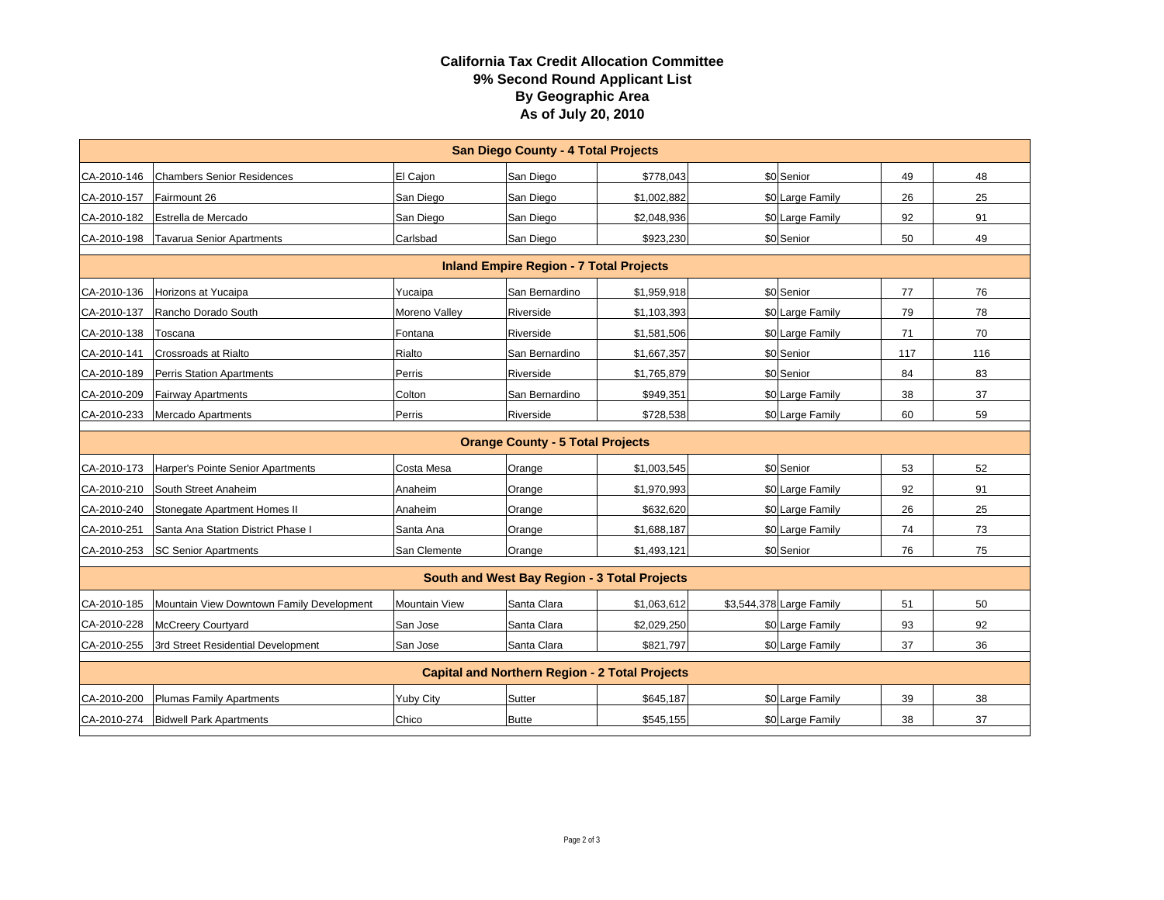## **California Tax Credit Allocation Committee 9% Second Round Applicant List By Geographic Area As of July 20, 2010**

| <b>San Diego County - 4 Total Projects</b>            |                                               |                      |                |             |  |                          |     |     |  |  |
|-------------------------------------------------------|-----------------------------------------------|----------------------|----------------|-------------|--|--------------------------|-----|-----|--|--|
| CA-2010-146                                           | <b>Chambers Senior Residences</b>             | El Caion             | San Diego      | \$778,043   |  | \$0 Senior               | 49  | 48  |  |  |
| CA-2010-157                                           | Fairmount 26                                  | San Diego            | San Diego      | \$1,002,882 |  | \$0 Large Family         | 26  | 25  |  |  |
| CA-2010-182                                           | Estrella de Mercado                           | San Diego            | San Diego      | \$2,048,936 |  | \$0 Large Family         | 92  | 91  |  |  |
| CA-2010-198                                           | <b>Tavarua Senior Apartments</b>              | Carlsbad             | San Diego      | \$923,230   |  | \$0 Senior               | 50  | 49  |  |  |
| <b>Inland Empire Region - 7 Total Projects</b>        |                                               |                      |                |             |  |                          |     |     |  |  |
| CA-2010-136                                           | <b>Horizons at Yucaipa</b>                    | Yucaipa              | San Bernardino | \$1,959,918 |  | \$0 Senior               | 77  | 76  |  |  |
| CA-2010-137                                           | Rancho Dorado South                           | Moreno Valley        | Riverside      | \$1,103,393 |  | \$0 Large Family         | 79  | 78  |  |  |
| CA-2010-138                                           | Toscana                                       | Fontana              | Riverside      | \$1,581,506 |  | \$0 Large Family         | 71  | 70  |  |  |
| CA-2010-141                                           | <b>Crossroads at Rialto</b>                   | Rialto               | San Bernardino | \$1,667,357 |  | \$0 Senior               | 117 | 116 |  |  |
| CA-2010-189                                           | <b>Perris Station Apartments</b>              | Perris               | Riverside      | \$1,765,879 |  | \$0 Senior               | 84  | 83  |  |  |
| CA-2010-209                                           | <b>Fairway Apartments</b>                     | Colton               | San Bernardino | \$949,351   |  | \$0 Large Family         | 38  | 37  |  |  |
| CA-2010-233                                           | <b>Mercado Apartments</b>                     | Perris               | Riverside      | \$728,538   |  | \$0 Large Family         | 60  | 59  |  |  |
| <b>Orange County - 5 Total Projects</b>               |                                               |                      |                |             |  |                          |     |     |  |  |
|                                                       | CA-2010-173 Harper's Pointe Senior Apartments | Costa Mesa           | Orange         | \$1,003,545 |  | \$0 Senior               | 53  | 52  |  |  |
| CA-2010-210                                           | South Street Anaheim                          | Anaheim              | Orange         | \$1,970,993 |  | \$0 Large Family         | 92  | 91  |  |  |
| CA-2010-240                                           | Stonegate Apartment Homes II                  | Anaheim              | Orange         | \$632,620   |  | \$0 Large Family         | 26  | 25  |  |  |
| CA-2010-251                                           | Santa Ana Station District Phase I            | Santa Ana            | Orange         | \$1,688,187 |  | \$0 Large Family         | 74  | 73  |  |  |
| CA-2010-253                                           | <b>SC Senior Apartments</b>                   | San Clemente         | Orange         | \$1,493,121 |  | \$0 Senior               | 76  | 75  |  |  |
| South and West Bay Region - 3 Total Projects          |                                               |                      |                |             |  |                          |     |     |  |  |
| CA-2010-185                                           | Mountain View Downtown Family Development     | <b>Mountain View</b> | Santa Clara    | \$1,063,612 |  | \$3,544,378 Large Family | 51  | 50  |  |  |
| CA-2010-228                                           | <b>McCreery Courtyard</b>                     | San Jose             | Santa Clara    | \$2,029,250 |  | \$0 Large Family         | 93  | 92  |  |  |
| CA-2010-255                                           | 3rd Street Residential Development            | San Jose             | Santa Clara    | \$821,797   |  | \$0 Large Family         | 37  | 36  |  |  |
| <b>Capital and Northern Region - 2 Total Projects</b> |                                               |                      |                |             |  |                          |     |     |  |  |
| CA-2010-200                                           | <b>Plumas Family Apartments</b>               | <b>Yuby City</b>     | Sutter         | \$645,187   |  | \$0 Large Family         | 39  | 38  |  |  |
|                                                       | CA-2010-274 Bidwell Park Apartments           | Chico                | <b>Butte</b>   | \$545,155   |  | \$0 Large Family         | 38  | 37  |  |  |